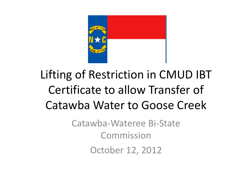

### Lifting of Restriction in CMUD IBT Certificate to allow Transfer of Catawba Water to Goose Creek

Catawba‐Wateree Bi‐State CommissionOctober 12, 2012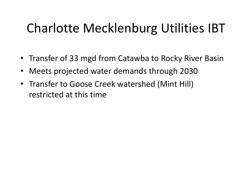# Charlotte Mecklenburg Utilities IBT

- Transfer of 33 mgd from Catawba to Rocky River Basin
- $\bullet$ Meets projected water demands through 2030
- Transfer to Goose Creek watershed (Mint Hill) restricted at this time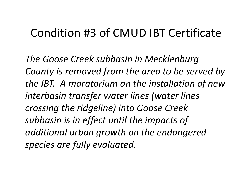#### Condition #3 of CMUD IBT Certificate

*The Goose Creek subbasin in Mecklenburg County is removed from the area to be served by the IBT. A moratorium on the installation of new interbasin transfer water lines (water lines crossing the ridgeline) into Goose Creek subbasin is in effect until the impacts of additional urban growth on the endangered species are fully evaluated.*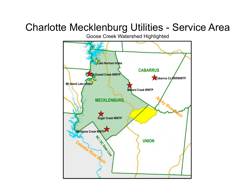#### Charlotte Mecklenburg Utilities - Service Area

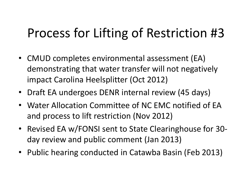### Process for Lifting of Restriction #3

- CMUD completes environmental assessment (EA) demonstrating that water transfer will not negatively impact Carolina Heelsplitter (Oct 2012)
- Draft EA undergoes DENR internal review (45 days)
- Water Allocation Committee of NC EMC notified of EAand process to lift restriction (Nov 2012)
- Revised EA w/FONSI sent to State Clearinghouse for 30‐ day review and public comment (Jan 2013)
- Public hearing conducted in Catawba Basin (Feb 2013)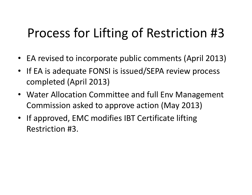# Process for Lifting of Restriction #3

- EA revised to incorporate public comments (April 2013)
- If EA is adequate FONSI is issued/SEPA review process completed (April 2013)
- Water Allocation Committee and full Env Management Commission asked to approve action (May 2013)
- If approved, EMC modifies IBT Certificate lifting Restriction #3.